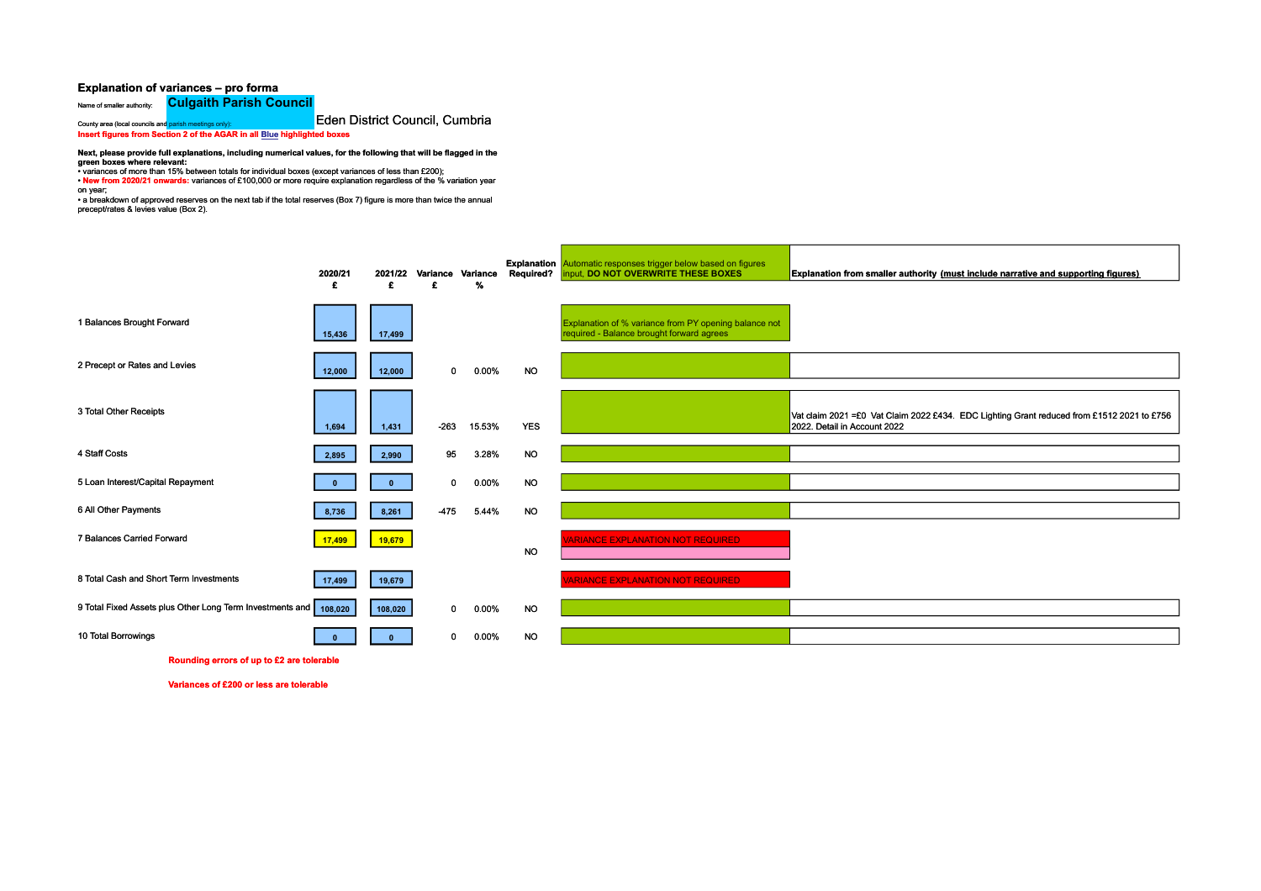## **Explanation of variances – pro forma**

Name of smaller authority: **Culgaith Parish Council** 

Eden District Council, Cumbria

**Insert figures from Section 2 of the AGAR in all Blue highlighted boxes** 

## **Next, please provide full explanations, including numerical values, for the following that will be flagged in the green boxes where relevant:**

• variances of more than 15% between totals for individual boxes (except variances of less than £200); • **New from 2020/21 onwards:** variances of £100,000 or more require explanation regardless of the % variation year on year;

• a breakdown of approved reserves on the next tab if the total reserves (Box 7) figure is more than twice the annual precept/rates & levies value (Box 2).

County area (local councils and parish meetings only):

|                                                                   | 2020/21<br>£ | 2021/22<br>£ | Variance Variance<br>£ | %      |            | <b>Explanation</b> Automatic responses trigger below based on figures<br>Required?   input, DO NOT OVERWRITE THESE BOXES | Explanation from smaller authority (must include narrative and supporting figures)                                          |
|-------------------------------------------------------------------|--------------|--------------|------------------------|--------|------------|--------------------------------------------------------------------------------------------------------------------------|-----------------------------------------------------------------------------------------------------------------------------|
| 1 Balances Brought Forward                                        | 15,436       | 17,499       |                        |        |            | Explanation of % variance from PY opening balance not<br>required - Balance brought forward agrees                       |                                                                                                                             |
| 2 Precept or Rates and Levies                                     | 12,000       | 12,000       | 0                      | 0.00%  | <b>NO</b>  |                                                                                                                          |                                                                                                                             |
| 3 Total Other Receipts                                            | 1,694        | 1,431        | $-263$                 | 15.53% | <b>YES</b> |                                                                                                                          | Vat claim 2021 = £0 Vat Claim 2022 £434. EDC Lighting Grant reduced from £1512 2021 to £756<br>2022. Detail in Account 2022 |
| 4 Staff Costs                                                     | 2.895        | 2,990        | 95                     | 3.28%  | <b>NO</b>  |                                                                                                                          |                                                                                                                             |
| 5 Loan Interest/Capital Repayment                                 |              | $\mathbf{0}$ | $\mathbf 0$            | 0.00%  | <b>NO</b>  |                                                                                                                          |                                                                                                                             |
| 6 All Other Payments                                              | 8,736        | 8,261        | $-475$                 | 5.44%  | <b>NO</b>  |                                                                                                                          |                                                                                                                             |
| 7 Balances Carried Forward                                        | 17,499       | 19,679       |                        |        | <b>NO</b>  | <b>ARIANCE EXPLANATION NOT REQUIRED</b>                                                                                  |                                                                                                                             |
| 8 Total Cash and Short Term Investments                           | 17,499       | 19,679       |                        |        |            | <b>ARIANCE EXPLANATION NOT REQUIRED</b>                                                                                  |                                                                                                                             |
| 9 Total Fixed Assets plus Other Long Term Investments and 108,020 |              | 108,020      | $\mathbf 0$            | 0.00%  | <b>NO</b>  |                                                                                                                          |                                                                                                                             |
| 10 Total Borrowings                                               |              |              | 0                      | 0.00%  | <b>NO</b>  |                                                                                                                          |                                                                                                                             |

**Rounding errors of up to £2 are tolerable**

**Variances of £200 or less are tolerable**